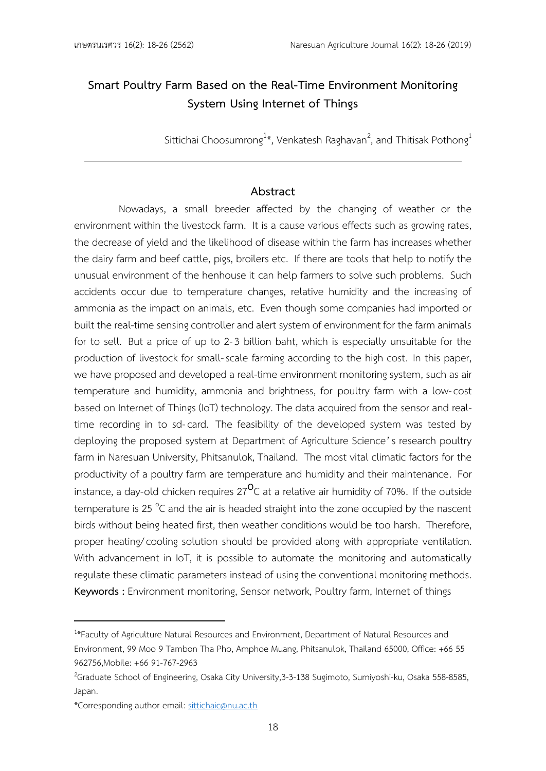# **Smart Poultry Farm Based on the Real-Time Environment Monitoring System Using Internet of Things**

Sittichai Choosumrong $^{1*}$ , Venkatesh Raghavan $^2$ , and Thitisak Pothong $^1$ 

## **Abstract**

Nowadays, a small breeder affected by the changing of weather or the environment within the livestock farm. It is a cause various effects such as growing rates, the decrease of yield and the likelihood of disease within the farm has increases whether the dairy farm and beef cattle, pigs, broilers etc. If there are tools that help to notify the unusual environment of the henhouse it can help farmers to solve such problems. Such accidents occur due to temperature changes, relative humidity and the increasing of ammonia as the impact on animals, etc. Even though some companies had imported or built the real-time sensing controller and alert system of environment for the farm animals for to sell. But a price of up to 2-3 billion baht, which is especially unsuitable for the production of livestock for small-scale farming according to the high cost. In this paper, we have proposed and developed a real-time environment monitoring system, such as air temperature and humidity, ammonia and brightness, for poultry farm with a low-cost based on Internet of Things (IoT) technology. The data acquired from the sensor and realtime recording in to sd-card. The feasibility of the developed system was tested by deploying the proposed system at Department of Agriculture Science's research poultry farm in Naresuan University, Phitsanulok, Thailand. The most vital climatic factors for the productivity of a poultry farm are temperature and humidity and their maintenance. For instance, a day-old chicken requires 27 $^{\mathsf{O}}$ C at a relative air humidity of 70%. If the outside temperature is 25  $^{\circ}$ C and the air is headed straight into the zone occupied by the nascent birds without being heated first, then weather conditions would be too harsh. Therefore, proper heating/cooling solution should be provided along with appropriate ventilation. With advancement in IoT, it is possible to automate the monitoring and automatically regulate these climatic parameters instead of using the conventional monitoring methods. **Keywords :** Environment monitoring, Sensor network, Poultry farm, Internet of things

<sup>&</sup>lt;sup>1\*</sup>Faculty of Agriculture Natural Resources and Environment, Department of Natural Resources and Environment, 99 Moo 9 Tambon Tha Pho, Amphoe Muang, Phitsanulok, Thailand 65000, Office: +66 55 962756,Mobile: +66 91-767-2963

<sup>&</sup>lt;sup>2</sup>Graduate School of Engineering, Osaka City University, 3-3-138 Sugimoto, Sumiyoshi-ku, Osaka 558-8585, Japan.

<sup>\*</sup>Corresponding author email: [sittichaic@nu](mailto:sittichaic@nu.ac.th).ac.th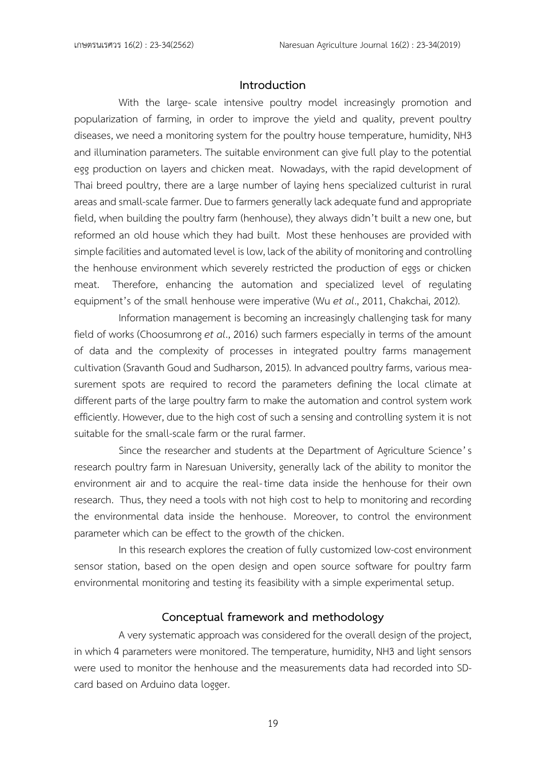### **Introduction**

With the large- scale intensive poultry model increasingly promotion and popularization of farming, in order to improve the yield and quality, prevent poultry diseases, we need a monitoring system for the poultry house temperature, humidity, NH3 and illumination parameters. The suitable environment can give full play to the potential egg production on layers and chicken meat. Nowadays, with the rapid development of Thai breed poultry, there are a large number of laying hens specialized culturist in rural areas and small-scale farmer. Due to farmers generally lack adequate fund and appropriate field, when building the poultry farm (henhouse), they always didn't built a new one, but reformed an old house which they had built. Most these henhouses are provided with simple facilities and automated level is low, lack of the ability of monitoringand controlling the henhouse environment which severely restricted the production of eggs or chicken meat. Therefore, enhancing the automation and specialized level of regulating equipment's of the small henhouse were imperative (Wu *et al*., 2011, Chakchai, 2012).

Information management is becoming an increasingly challenging task for many field of works (Choosumrong *et al*., 2016) such farmers especially in terms of the amount of data and the complexity of processes in integrated poultry farms management cultivation (Sravanth Goud and Sudharson, 2015). In advanced poultry farms, various measurement spots are required to record the parameters defining the local climate at different parts of the large poultry farm to make the automation and control system work efficiently. However, due to the high cost of such a sensing and controlling system it is not suitable for the small-scale farm or the rural farmer.

Since the researcher and students at the Department of Agriculture Science's research poultry farm in Naresuan University, generally lack of the ability to monitor the environment air and to acquire the real-time data inside the henhouse for their own research. Thus, they need a tools with not high cost to help to monitoring and recording the environmental data inside the henhouse. Moreover, to control the environment parameter which can be effect to the growth of the chicken.

In this research explores the creation of fully customized low-cost environment sensor station, based on the open design and open source software for poultry farm environmental monitoring and testing its feasibility with a simple experimental setup.

### **Conceptual framework and methodology**

A very systematic approach was considered for the overall design of the project, in which 4 parameters were monitored. The temperature, humidity, NH3 and light sensors were used to monitor the henhouse and the measurements data had recorded into SDcard based on Arduino data logger.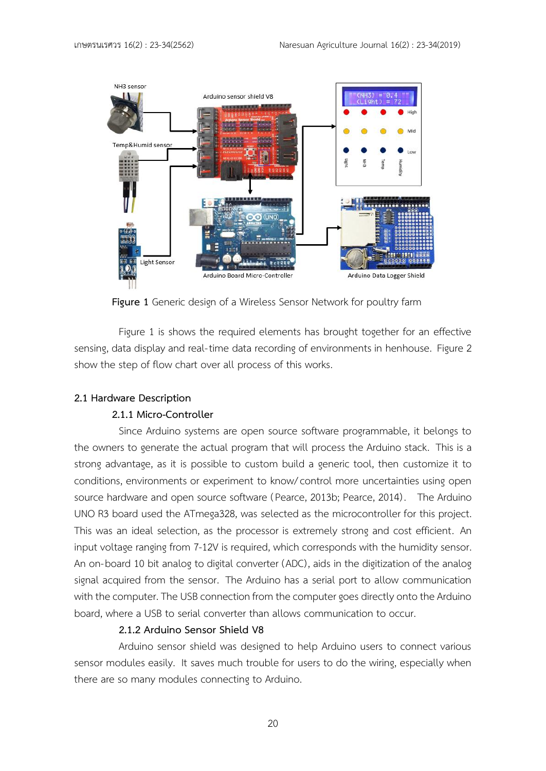

**Figure 1** Generic design of a Wireless Sensor Network for poultry farm

Figure 1 is shows the required elements has brought together for an effective sensing, data display and real-time data recording of environments in henhouse. Figure 2 show the step of flow chart over all process of this works.

### **2.1 Hardware Description**

### **2.1.1 Micro-Controller**

Since Arduino systems are open source software programmable, it belongs to the owners to generate the actual program that will process the Arduino stack. This is a strong advantage, as it is possible to custom build a generic tool, then customize it to conditions, environments or experiment to know/control more uncertainties using open source hardware and open source software (Pearce, 2013b; Pearce, 2014) . The Arduino UNO R3 board used the ATmega328, was selected as the microcontroller for this project. This was an ideal selection, as the processor is extremely strong and cost efficient. An input voltage ranging from 7-12V is required, which corresponds with the humidity sensor. An on-board 10 bit analog to digital converter (ADC), aids in the digitization of the analog signal acquired from the sensor. The Arduino has a serial port to allow communication with the computer. The USB connection from the computer goes directly onto the Arduino board, where a USB to serial converter than allows communication to occur.

### **2.1.2 Arduino Sensor Shield V8**

Arduino sensor shield was designed to help Arduino users to connect various sensor modules easily. It saves much trouble for users to do the wiring, especially when there are so many modules connecting to Arduino.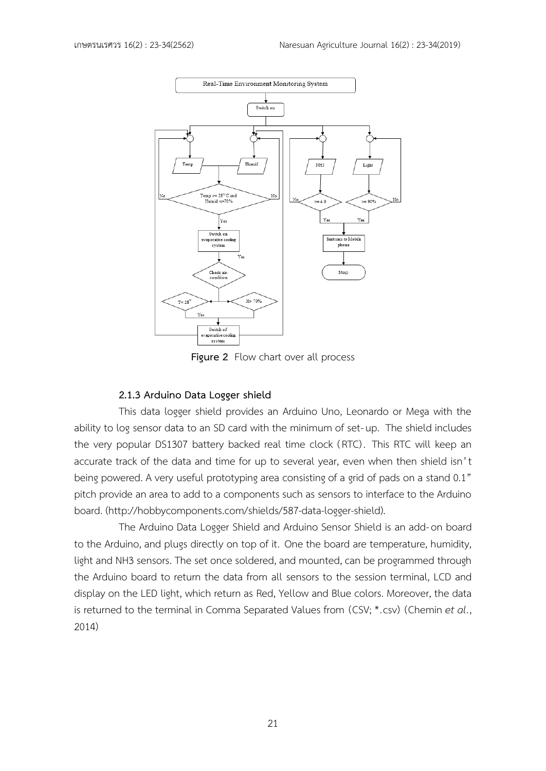

**Figure 2** Flow chart over all process

### **2.1.3 Arduino Data Logger shield**

This data logger shield provides an Arduino Uno, Leonardo or Mega with the ability to log sensor data to an SD card with the minimum of set-up. The shield includes the very popular DS1307 battery backed real time clock (RTC) . This RTC will keep an accurate track of the data and time for up to several year, even when then shield isn't being powered. A very useful prototyping area consisting of a grid of pads on a stand 0.1" pitch provide an area to add to a components such as sensors to interface to the Arduino board. (http://hobbycomponents.com/shields/587-data-logger-shield).

The Arduino Data Logger Shield and Arduino Sensor Shield is an add-on board to the Arduino, and plugs directly on top of it. One the board are temperature, humidity, light and NH3 sensors. The set once soldered, and mounted, can be programmed through the Arduino board to return the data from all sensors to the session terminal, LCD and display on the LED light, which return as Red, Yellow and Blue colors. Moreover, the data is returned to the terminal in Comma Separated Values from (CSV; \*.csv) (Chemin *et al*., 2014)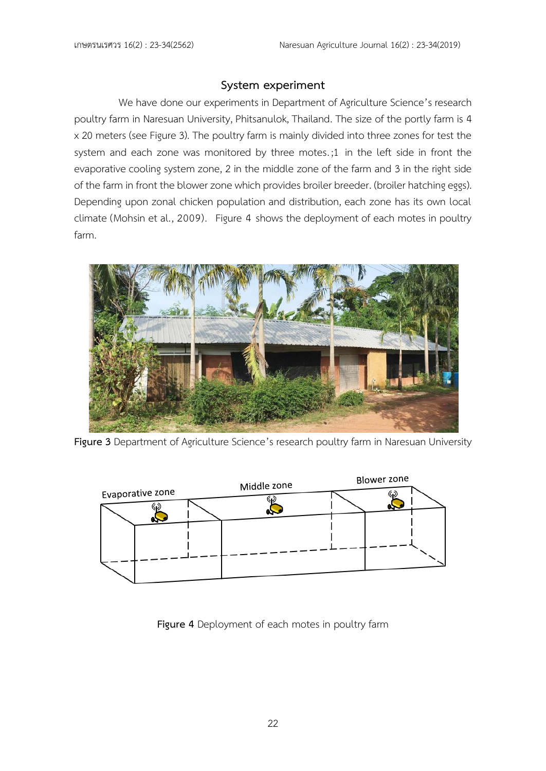# **System experiment**

We have done our experiments in Department of Agriculture Science's research poultry farm in Naresuan University, Phitsanulok, Thailand. The size of the portly farm is 4 x 20 meters (see Figure 3). The poultry farm is mainly divided into three zones for test the system and each zone was monitored by three motes. ;1 in the left side in front the evaporative cooling system zone, 2 in the middle zone of the farm and 3 in the right side of the farm in front the blower zone which provides broiler breeder. (broiler hatching eggs). Depending upon zonal chicken population and distribution, each zone has its own local climate (Mohsin et al., 2009). Figure 4 shows the deployment of each motes in poultry farm.



**Figure 3** Department of Agriculture Science's research poultry farm in Naresuan University



**Figure 4** Deployment of each motes in poultry farm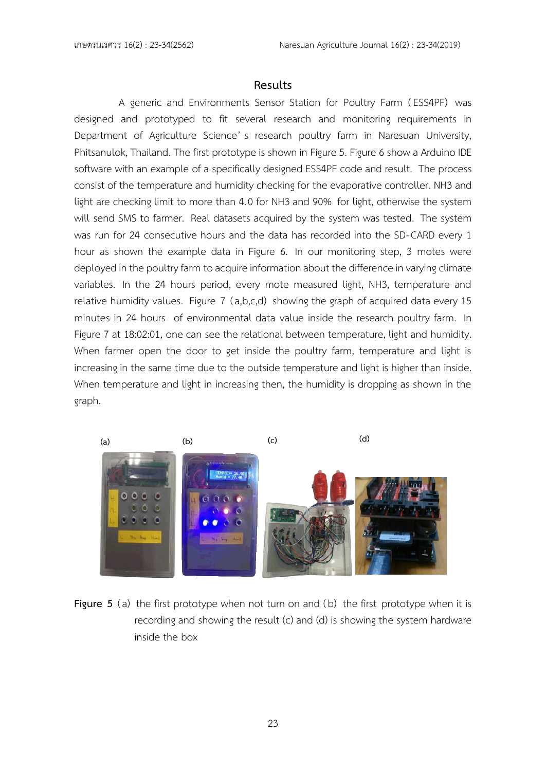## **Results**

A generic and Environments Sensor Station for Poultry Farm (ESS4PF) was designed and prototyped to fit several research and monitoring requirements in Department of Agriculture Science' s research poultry farm in Naresuan University, Phitsanulok, Thailand. The first prototype is shown in Figure 5. Figure 6 show a Arduino IDE software with an example of a specifically designed ESS4PF code and result. The process consist of the temperature and humidity checking for the evaporative controller. NH3 and light are checking limit to more than 4.0 for NH3 and 90% for light, otherwise the system will send SMS to farmer. Real datasets acquired by the system was tested. The system was run for 24 consecutive hours and the data has recorded into the SD- CARD every 1 hour as shown the example data in Figure 6. In our monitoring step, 3 motes were deployed in the poultry farm to acquire information about the difference in varying climate variables. In the 24 hours period, every mote measured light, NH3, temperature and relative humidity values. Figure 7 (a,b,c,d) showing the graph of acquired data every 15 minutes in 24 hours of environmental data value inside the research poultry farm. In Figure 7 at 18:02:01, one can see the relational between temperature, light and humidity. When farmer open the door to get inside the poultry farm, temperature and light is increasing in the same time due to the outside temperature and light is higher than inside. When temperature and light in increasing then, the humidity is dropping as shown in the graph.



**Figure** 5 (a) the first prototype when not turn on and (b) the first prototype when it is recording and showing the result (c) and (d) is showing the system hardware inside the box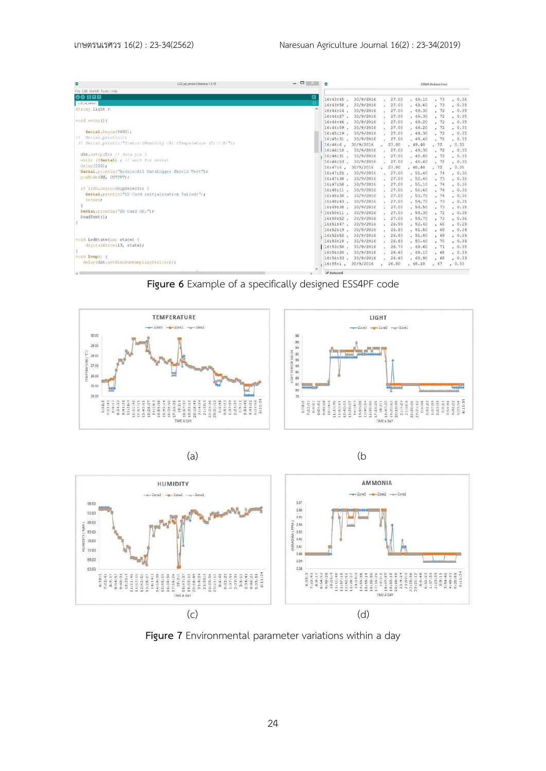| a<br>LCD sd sensor   Arduino 1.7.10                  |                                                                  | $  \sqrt{2}$ |              |                     | COM4 (Arduino Uno) |          |      |        |
|------------------------------------------------------|------------------------------------------------------------------|--------------|--------------|---------------------|--------------------|----------|------|--------|
| File Edit Sketch Tools Help                          |                                                                  |              |              |                     |                    |          |      |        |
| 00 888                                               |                                                                  | 回            | 16:43:45.    | 30/9/2016           | 27.00              | , 49.10  | .73  | , 0.36 |
| LCD_sd_sensor                                        |                                                                  |              | 16:43:58.    | 30/9/2016           | 27.00              | , 49.60  | .73  | , 0.35 |
| String light ;                                       |                                                                  |              | $16:44:14$ . | 30/9/2016           | 27.00              | , 49.30  | .72  | , 0.35 |
|                                                      |                                                                  |              | $16:44:27$ . | 30/9/2016           | 27.00              | .49.30   | .72  | , 0.35 |
| void setup() {                                       |                                                                  |              | 16:44:46.    | 30/9/2016           | 27.00              | , 49.20  | .72  | 0.35   |
|                                                      |                                                                  |              | 16:44:59.    | 30/9/2016           | 27.00              | , 49.20  | .72  | , 0.35 |
| Serial.begin(9600);                                  |                                                                  |              | $16:45:19$ . | 30/9/2016           | 27.00              | , 49.30  | .72  | , 0.35 |
| Serial.println();<br>11.                             |                                                                  |              | $16:45:31$ , | 30/9/2016           | 27.00              | , 49.40  | .72  | , 0.35 |
|                                                      | // Serial.println("Status tHumidity (%) tTemperature (C) t(F)"); |              | 16:46:6.     | 30/9/2016           | 27.00              | , 49.40  | .72  | , 0.35 |
|                                                      |                                                                  |              | $16:46:18$ . | 30/9/2016           | 27.00              | , 49.30  | .72  | , 0.35 |
| $dht.setup(2)$ ; // data pin 2                       |                                                                  |              | $16:46:31$ , | 30/9/2016           | 27.00              | , 48.80  | .72  | 0.35   |
| while (ISorial) ; // wait for serial                 |                                                                  |              |              | 16:46:53, 30/9/2016 | 27.00              | , 48.40  | , 72 | , 0.35 |
| delay (200) ;                                        |                                                                  |              | $16:47:6$ .  | 30/9/2016           | 27.00              | , 48.40  | .72  | 0.35   |
| Serial.println("ArduinoAll DataLogger Shield Test"); |                                                                  |              |              | 16:47:25, 30/9/2016 | 27.00              | , 51.40  | , 74 | , 0.36 |
| pinHode(SS, OUTPUT);                                 |                                                                  |              |              | 16:47:38, 30/9/2016 | 27.00              | , 52.40  | .73  | , 0.36 |
|                                                      |                                                                  |              |              | 16:47:58, 30/9/2016 | 27,00              | , 55.10  | , 74 | , 0.36 |
| if (ISD.begin(chipSelect)) {                         |                                                                  |              | $16:48:11$ , | 30/9/2016           | 27.00              | , 56.60  | .74  | , 0.36 |
| Serial.println("SD Card initialization failed!");    |                                                                  |              | 16:48:30.    | 30/9/2016           | 27.00              | , 53, 70 | , 74 | , 0.36 |
| return;                                              |                                                                  |              |              | 16:48:43, 30/9/2016 | 27.00              | , 54.70  | .73  | , 0.35 |
|                                                      |                                                                  |              | 16:49:38.    | 30/9/2016           | 27.00              | , 54.50  | , 73 | , 0.35 |
| Serial.println("SD Card OK.");                       |                                                                  |              | $16:50:11$ , | 30/9/2016           | 27.00              | , 54.30  | .72  | , 0.35 |
| ReadText();                                          |                                                                  |              | 16:50:52.    | 30/9/2016           | 27.00              | , 54.70  | .73  | , 0.36 |
|                                                      |                                                                  |              | $16:51:47$ . | 30/9/2016           | 26.90              | , 52.40  | .60  | , 0.29 |
|                                                      |                                                                  |              | $16:52:19$ . | 30/9/2016           | 26.80              | , 51.50  | , 69 | , 0.34 |
|                                                      |                                                                  |              | $16:52:52$ . | 30/9/2016           | 26.80              | , 51.80  | .69  | , 0.34 |
| void LedState(int state) {                           |                                                                  |              | $16:53:18$ . | 30/9/2016           | 26.80              | , 50.40  | .70  | , 0.34 |
| digitalWrite(13, state);                             |                                                                  |              | $16:53:50$ . | 30/9/2016           | 26.70              | , 49.60  | .71  | , 0.35 |
|                                                      |                                                                  |              | 16:54:20.    | 30/9/2016           | 26.60              | , 49.10  | , 68 | , 0.33 |
| void loop () {                                       |                                                                  |              | $16:54:33$ . | 30/9/2016           | 26.60              | , 48.90  | .68  | , 0.33 |
| delay(dht.getMinimumSamplingPeriod());               |                                                                  | $\sim$       | $16:55:1$ ,  | 30/9/2016           | 26.50              | , 48.10  | .67  | , 0.33 |
|                                                      |                                                                  |              |              |                     |                    |          |      |        |

**Figure 6** Example of a specifically designed ESS4PF code







(a) (b



**Figure 7** Environmental parameter variations within a day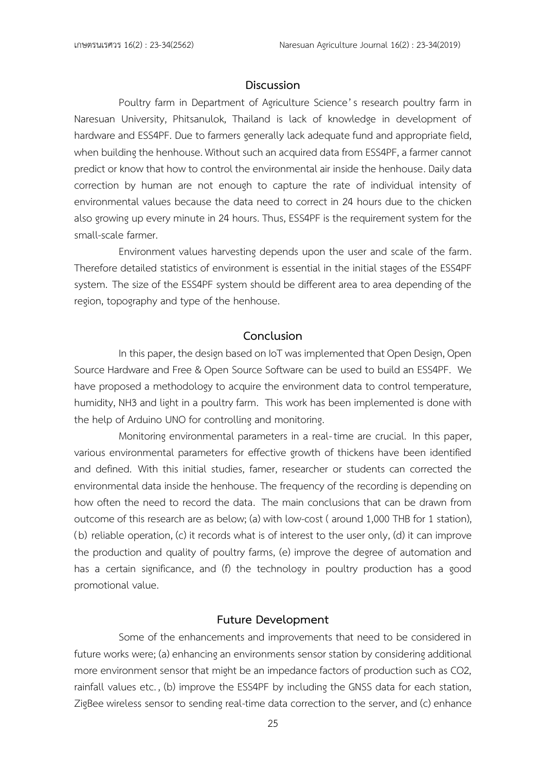### **Discussion**

Poultry farm in Department of Agriculture Science's research poultry farm in Naresuan University, Phitsanulok, Thailand is lack of knowledge in development of hardware and ESS4PF. Due to farmers generally lack adequate fund and appropriate field, when building the henhouse. Without such an acquired data from ESS4PF, a farmer cannot predict or know that how to control the environmental air inside the henhouse. Daily data correction by human are not enough to capture the rate of individual intensity of environmental values because the data need to correct in 24 hours due to the chicken also growing up every minute in 24 hours. Thus, ESS4PF is the requirement system for the small-scale farmer.

Environment values harvesting depends upon the user and scale of the farm. Therefore detailed statistics of environment is essential in the initial stages of the ESS4PF system. The size of the ESS4PF system should be different area to area depending of the region, topography and type of the henhouse.

# **Conclusion**

In this paper, the design based on IoT was implemented that Open Design, Open Source Hardware and Free & Open Source Software can be used to build an ESS4PF. We have proposed a methodology to acquire the environment data to control temperature, humidity, NH3 and light in a poultry farm. This work has been implemented is done with the help of Arduino UNO for controlling and monitoring.

Monitoring environmental parameters in a real-time are crucial. In this paper, various environmental parameters for effective growth of thickens have been identified and defined. With this initial studies, famer, researcher or students can corrected the environmental data inside the henhouse. The frequency of the recording is depending on how often the need to record the data. The main conclusions that can be drawn from outcome of this research are as below; (a) with low-cost ( around 1,000 THB for 1 station), (b) reliable operation, (c) it records what is of interest to the user only, (d) it can improve the production and quality of poultry farms, (e) improve the degree of automation and has a certain significance, and (f) the technology in poultry production has a good promotional value.

### **Future Development**

Some of the enhancements and improvements that need to be considered in future works were; (a) enhancing an environments sensor station by considering additional more environment sensor that might be an impedance factors of production such as CO2, rainfall values etc. , (b) improve the ESS4PF by including the GNSS data for each station, ZigBee wireless sensor to sending real-time data correction to the server, and (c) enhance